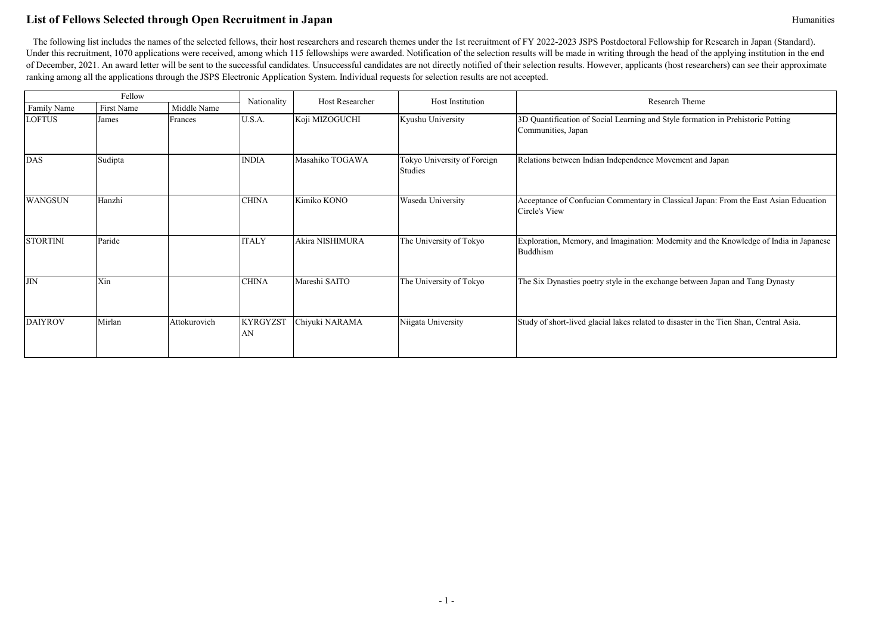# **List of Fellows Selected through Open Recruitment in Japan** Humanities

|                 | Fellow     |              | Nationality           | Host Researcher | Host Institution                       | Research Theme                                                                                        |
|-----------------|------------|--------------|-----------------------|-----------------|----------------------------------------|-------------------------------------------------------------------------------------------------------|
| Family Name     | First Name | Middle Name  |                       |                 |                                        |                                                                                                       |
| <b>LOFTUS</b>   | James      | Frances      | U.S.A.                | Koji MIZOGUCHI  | Kyushu University                      | 3D Quantification of Social Learning and Style formation in Prehistoric Potting<br>Communities, Japan |
| <b>DAS</b>      | Sudipta    |              | <b>INDIA</b>          | Masahiko TOGAWA | Tokyo University of Foreign<br>Studies | Relations between Indian Independence Movement and Japan                                              |
| <b>WANGSUN</b>  | Hanzhi     |              | <b>CHINA</b>          | Kimiko KONO     | Waseda University                      | Acceptance of Confucian Commentary in Classical Japan: From the East Asian Education<br>Circle's View |
| <b>STORTINI</b> | Paride     |              | <b>ITALY</b>          | Akira NISHIMURA | The University of Tokyo                | Exploration, Memory, and Imagination: Modernity and the Knowledge of India in Japanese<br>Buddhism    |
| <b>JIN</b>      | Xin        |              | <b>CHINA</b>          | Mareshi SAITO   | The University of Tokyo                | The Six Dynasties poetry style in the exchange between Japan and Tang Dynasty                         |
| <b>DAIYROV</b>  | Mirlan     | Attokurovich | <b>KYRGYZST</b><br>AN | Chiyuki NARAMA  | Niigata University                     | Study of short-lived glacial lakes related to disaster in the Tien Shan, Central Asia.                |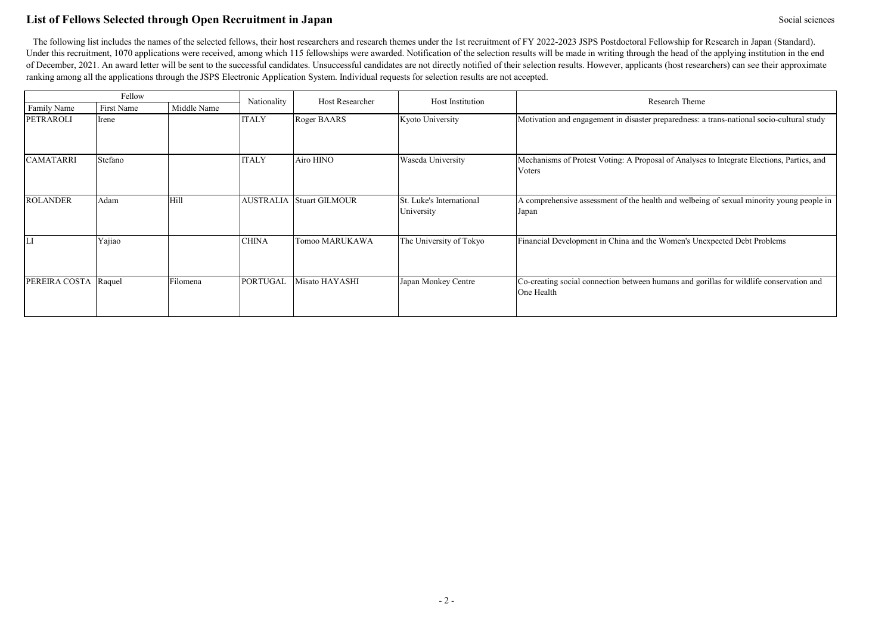# **List of Fellows Selected through Open Recruitment in Japan** Social sciences Social sciences

|                  | Fellow     |             | Nationality     | Host Researcher                 | Host Institution                       | Research Theme                                                                                        |
|------------------|------------|-------------|-----------------|---------------------------------|----------------------------------------|-------------------------------------------------------------------------------------------------------|
| Family Name      | First Name | Middle Name |                 |                                 |                                        |                                                                                                       |
| <b>PETRAROLI</b> | Irene      |             | <b>ITALY</b>    | Roger BAARS                     | Kyoto University                       | Motivation and engagement in disaster preparedness: a trans-national socio-cultural study             |
| <b>CAMATARRI</b> | Stefano    |             | <b>ITALY</b>    | Airo HINO                       | Waseda University                      | Mechanisms of Protest Voting: A Proposal of Analyses to Integrate Elections, Parties, and<br>Voters   |
| <b>ROLANDER</b>  | Adam       | Hill        |                 | <b>AUSTRALIA Stuart GILMOUR</b> | St. Luke's International<br>University | A comprehensive assessment of the health and welbeing of sexual minority young people in<br>Japan     |
|                  | Yajiao     |             | <b>CHINA</b>    | Tomoo MARUKAWA                  | The University of Tokyo                | Financial Development in China and the Women's Unexpected Debt Problems                               |
| PEREIRA COSTA    | Raquel     | Filomena    | <b>PORTUGAL</b> | Misato HAYASHI                  | Japan Monkey Centre                    | Co-creating social connection between humans and gorillas for wildlife conservation and<br>One Health |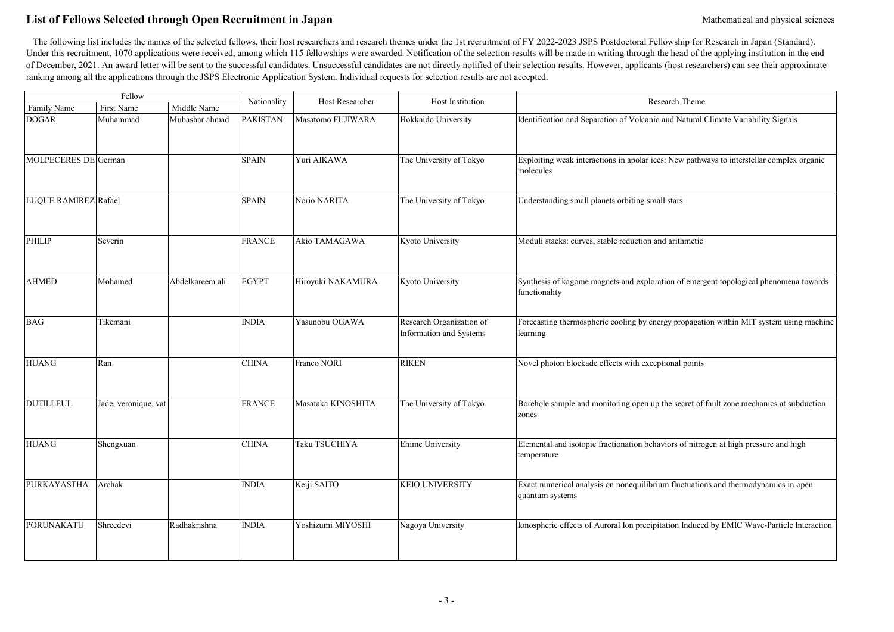# List of Fellows Selected through Open Recruitment in Japan Mathematical and physical sciences Mathematical and physical sciences

|                      | Fellow               |                 |                 | <b>Host Researcher</b> | Host Institution                                    | Research Theme                                                                                         |
|----------------------|----------------------|-----------------|-----------------|------------------------|-----------------------------------------------------|--------------------------------------------------------------------------------------------------------|
| Family Name          | First Name           | Middle Name     | Nationality     |                        |                                                     |                                                                                                        |
| <b>DOGAR</b>         | Muhammad             | Mubashar ahmad  | <b>PAKISTAN</b> | Masatomo FUJIWARA      | Hokkaido University                                 | Identification and Separation of Volcanic and Natural Climate Variability Signals                      |
| MOLPECERES DE German |                      |                 | <b>SPAIN</b>    | Yuri AIKAWA            | The University of Tokyo                             | Exploiting weak interactions in apolar ices: New pathways to interstellar complex organic<br>molecules |
| LUQUE RAMIREZ Rafael |                      |                 | <b>SPAIN</b>    | Norio NARITA           | The University of Tokyo                             | Understanding small planets orbiting small stars                                                       |
| <b>PHILIP</b>        | Severin              |                 | <b>FRANCE</b>   | Akio TAMAGAWA          | Kyoto University                                    | Moduli stacks: curves, stable reduction and arithmetic                                                 |
| <b>AHMED</b>         | Mohamed              | Abdelkareem ali | <b>EGYPT</b>    | Hiroyuki NAKAMURA      | Kyoto University                                    | Synthesis of kagome magnets and exploration of emergent topological phenomena towards<br>functionality |
| <b>BAG</b>           | Tikemani             |                 | <b>INDIA</b>    | Yasunobu OGAWA         | Research Organization of<br>Information and Systems | Forecasting thermospheric cooling by energy propagation within MIT system using machine<br>learning    |
| <b>HUANG</b>         | Ran                  |                 | <b>CHINA</b>    | Franco NORI            | <b>RIKEN</b>                                        | Novel photon blockade effects with exceptional points                                                  |
| <b>DUTILLEUL</b>     | Jade, veronique, vat |                 | <b>FRANCE</b>   | Masataka KINOSHITA     | The University of Tokyo                             | Borehole sample and monitoring open up the secret of fault zone mechanics at subduction<br>zones       |
| <b>HUANG</b>         | Shengxuan            |                 | <b>CHINA</b>    | Taku TSUCHIYA          | Ehime University                                    | Elemental and isotopic fractionation behaviors of nitrogen at high pressure and high<br>temperature    |
| PURKAYASTHA          | Archak               |                 | <b>INDIA</b>    | Keiji SAITO            | <b>KEIO UNIVERSITY</b>                              | Exact numerical analysis on nonequilibrium fluctuations and thermodynamics in open<br>quantum systems  |
| PORUNAKATU           | Shreedevi            | Radhakrishna    | <b>INDIA</b>    | Yoshizumi MIYOSHI      | Nagoya University                                   | Ionospheric effects of Auroral Ion precipitation Induced by EMIC Wave-Particle Interaction             |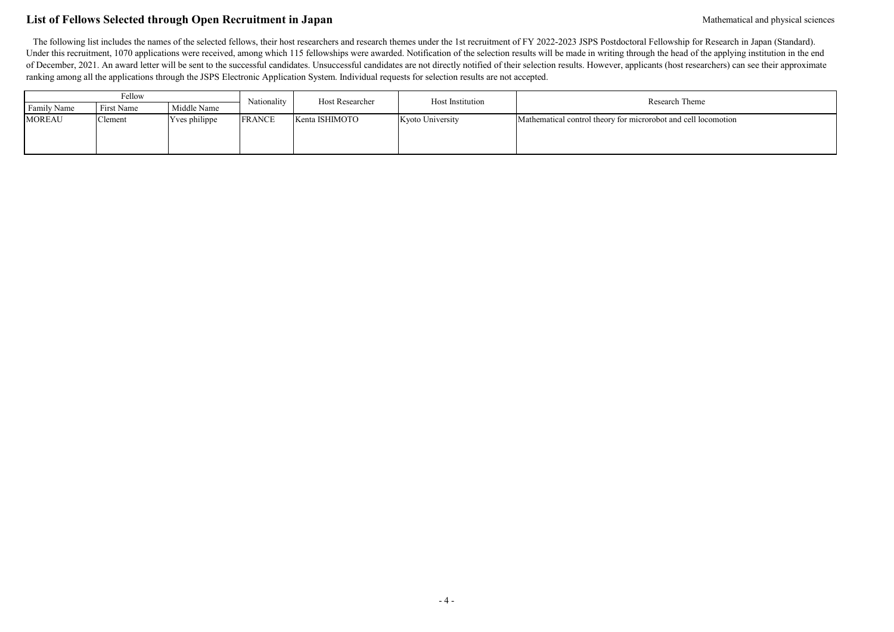# List of Fellows Selected through Open Recruitment in Japan Mathematical and physical sciences Mathematical and physical sciences

| Fellow        |            |               |               | Host Researcher | Host Institution | Research Theme                                                 |
|---------------|------------|---------------|---------------|-----------------|------------------|----------------------------------------------------------------|
| Family Name   | First Name | Middle Name   | Nationality   |                 |                  |                                                                |
| <b>MOREAU</b> | Clement    | Yves philippe | <b>FRANCE</b> | Kenta ISHIMOTO  | Kyoto University | Mathematical control theory for microrobot and cell locomotion |
|               |            |               |               |                 |                  |                                                                |
|               |            |               |               |                 |                  |                                                                |
|               |            |               |               |                 |                  |                                                                |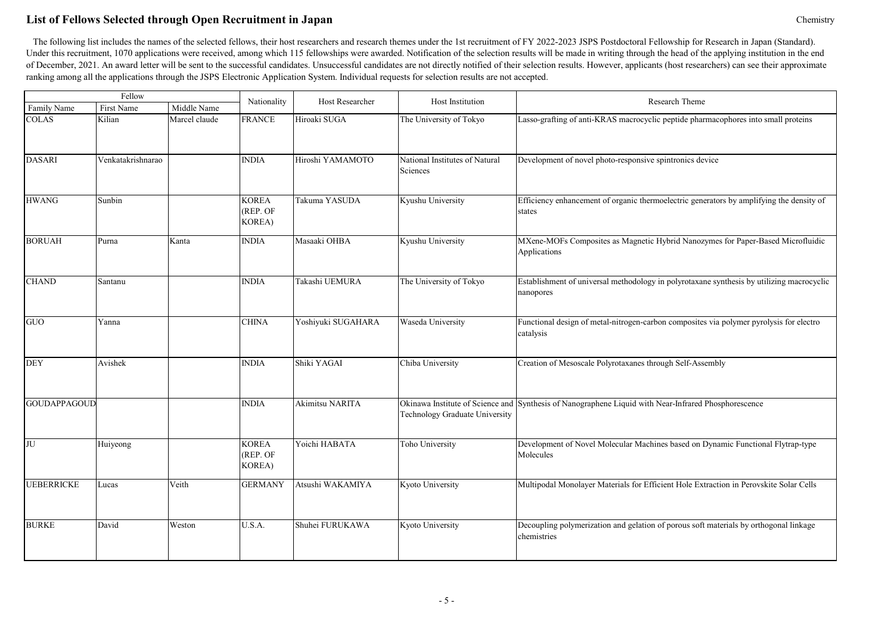# **List of Fellows Selected through Open Recruitment in Japan** Chemistry

|                     | Fellow            |               | Nationality                        | <b>Host Researcher</b> | Host Institution                                                   | Research Theme                                                                                         |
|---------------------|-------------------|---------------|------------------------------------|------------------------|--------------------------------------------------------------------|--------------------------------------------------------------------------------------------------------|
| Family Name         | First Name        | Middle Name   |                                    |                        |                                                                    |                                                                                                        |
| <b>COLAS</b>        | Kilian            | Marcel claude | <b>FRANCE</b>                      | Hiroaki SUGA           | The University of Tokyo                                            | Lasso-grafting of anti-KRAS macrocyclic peptide pharmacophores into small proteins                     |
| <b>DASARI</b>       | Venkatakrishnarao |               | <b>INDIA</b>                       | Hiroshi YAMAMOTO       | National Institutes of Natural<br>Sciences                         | Development of novel photo-responsive spintronics device                                               |
| <b>HWANG</b>        | Sunbin            |               | <b>KOREA</b><br>(REP. OF<br>KOREA) | Takuma YASUDA          | Kyushu University                                                  | Efficiency enhancement of organic thermoelectric generators by amplifying the density of<br>states     |
| <b>BORUAH</b>       | Purna             | Kanta         | <b>INDIA</b>                       | Masaaki OHBA           | Kyushu University                                                  | MXene-MOFs Composites as Magnetic Hybrid Nanozymes for Paper-Based Microfluidic<br>Applications        |
| <b>CHAND</b>        | Santanu           |               | <b>INDIA</b>                       | Takashi UEMURA         | The University of Tokyo                                            | Establishment of universal methodology in polyrotaxane synthesis by utilizing macrocyclic<br>nanopores |
| GUO                 | Yanna             |               | <b>CHINA</b>                       | Yoshiyuki SUGAHARA     | Waseda University                                                  | Functional design of metal-nitrogen-carbon composites via polymer pyrolysis for electro<br>catalysis   |
| <b>DEY</b>          | Avishek           |               | <b>INDIA</b>                       | Shiki YAGAI            | Chiba University                                                   | Creation of Mesoscale Polyrotaxanes through Self-Assembly                                              |
| <b>GOUDAPPAGOUD</b> |                   |               | <b>INDIA</b>                       | Akimitsu NARITA        | Okinawa Institute of Science and<br>Technology Graduate University | Synthesis of Nanographene Liquid with Near-Infrared Phosphorescence                                    |
| JU                  | Huiyeong          |               | <b>KOREA</b><br>(REP. OF<br>KOREA) | Yoichi HABATA          | Toho University                                                    | Development of Novel Molecular Machines based on Dynamic Functional Flytrap-type<br>Molecules          |
| <b>UEBERRICKE</b>   | Lucas             | Veith         | <b>GERMANY</b>                     | Atsushi WAKAMIYA       | Kyoto University                                                   | Multipodal Monolayer Materials for Efficient Hole Extraction in Perovskite Solar Cells                 |
| <b>BURKE</b>        | David             | Weston        | U.S.A.                             | Shuhei FURUKAWA        | Kyoto University                                                   | Decoupling polymerization and gelation of porous soft materials by orthogonal linkage<br>chemistries   |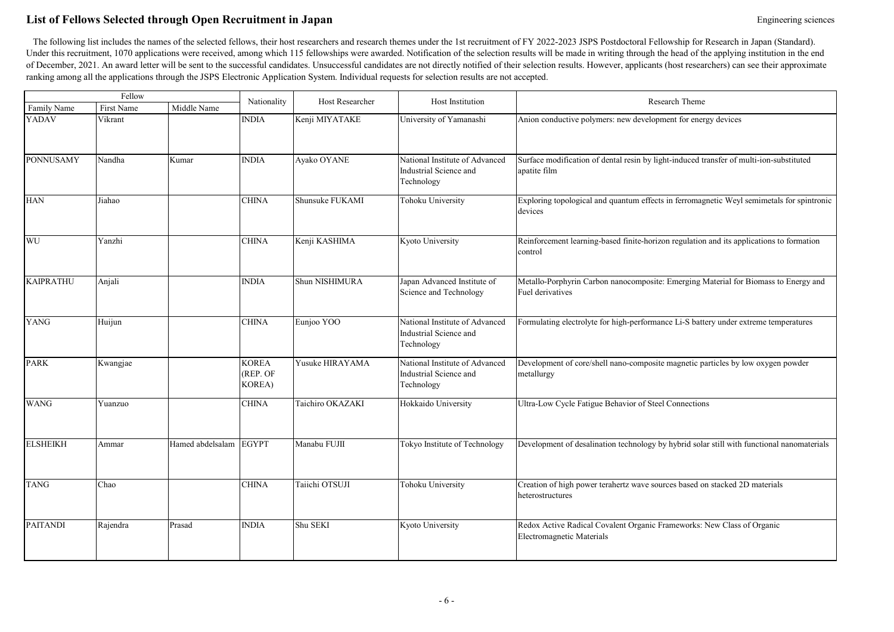# List of Fellows Selected through Open Recruitment in Japan **Engineering Sciences** Engineering sciences

|                  | Fellow     |                        | Nationality                                | Host Researcher  | Host Institution                                                       | Research Theme                                                                                          |
|------------------|------------|------------------------|--------------------------------------------|------------------|------------------------------------------------------------------------|---------------------------------------------------------------------------------------------------------|
| Family Name      | First Name | Middle Name            |                                            |                  |                                                                        |                                                                                                         |
| YADAV            | Vikrant    |                        | <b>INDIA</b>                               | Kenji MIYATAKE   | University of Yamanashi                                                | Anion conductive polymers: new development for energy devices                                           |
| <b>PONNUSAMY</b> | Nandha     | Kumar                  | <b>INDIA</b>                               | Ayako OYANE      | National Institute of Advanced<br>Industrial Science and<br>Technology | Surface modification of dental resin by light-induced transfer of multi-ion-substituted<br>apatite film |
| <b>HAN</b>       | Jiahao     |                        | <b>CHINA</b>                               | Shunsuke FUKAMI  | Tohoku University                                                      | Exploring topological and quantum effects in ferromagnetic Weyl semimetals for spintronic<br>devices    |
| WU               | Yanzhi     |                        | <b>CHINA</b>                               | Kenji KASHIMA    | Kyoto University                                                       | Reinforcement learning-based finite-horizon regulation and its applications to formation<br>control     |
| <b>KAIPRATHU</b> | Anjali     |                        | <b>INDIA</b>                               | Shun NISHIMURA   | Japan Advanced Institute of<br>Science and Technology                  | Metallo-Porphyrin Carbon nanocomposite: Emerging Material for Biomass to Energy and<br>Fuel derivatives |
| <b>YANG</b>      | Huijun     |                        | <b>CHINA</b>                               | Eunjoo YOO       | National Institute of Advanced<br>Industrial Science and<br>Technology | Formulating electrolyte for high-performance Li-S battery under extreme temperatures                    |
| <b>PARK</b>      | Kwangjae   |                        | <b>KOREA</b><br>(REP. OF<br><b>KOREA</b> ) | Yusuke HIRAYAMA  | National Institute of Advanced<br>Industrial Science and<br>Technology | Development of core/shell nano-composite magnetic particles by low oxygen powder<br>metallurgy          |
| <b>WANG</b>      | Yuanzuo    |                        | <b>CHINA</b>                               | Taichiro OKAZAKI | Hokkaido University                                                    | Ultra-Low Cycle Fatigue Behavior of Steel Connections                                                   |
| <b>ELSHEIKH</b>  | Ammar      | Hamed abdelsalam EGYPT |                                            | Manabu FUJII     | Tokyo Institute of Technology                                          | Development of desalination technology by hybrid solar still with functional nanomaterials              |
| <b>TANG</b>      | Chao       |                        | <b>CHINA</b>                               | Taiichi OTSUJI   | Tohoku University                                                      | Creation of high power terahertz wave sources based on stacked 2D materials<br>heterostructures         |
| <b>PAITANDI</b>  | Rajendra   | Prasad                 | <b>INDIA</b>                               | Shu SEKI         | Kyoto University                                                       | Redox Active Radical Covalent Organic Frameworks: New Class of Organic<br>Electromagnetic Materials     |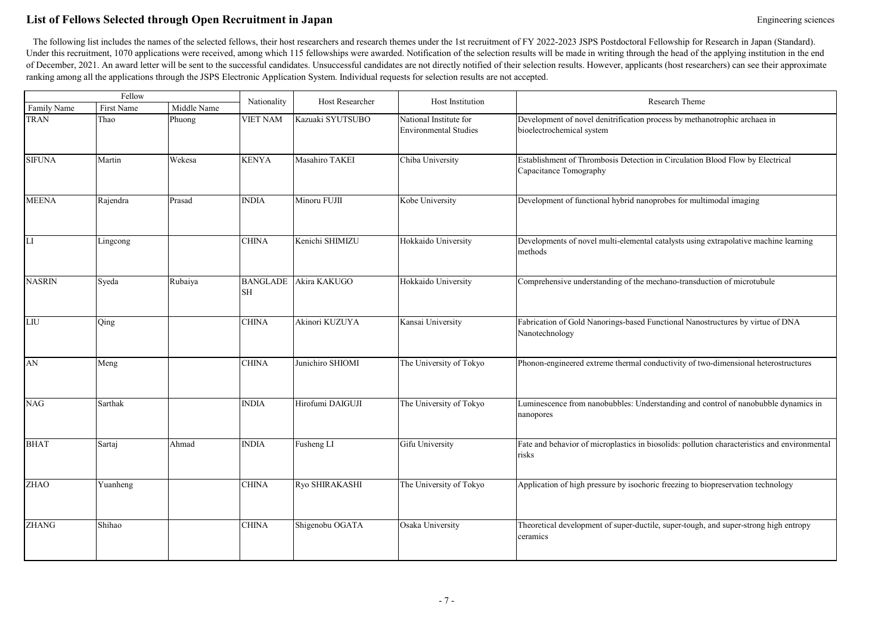# List of Fellows Selected through Open Recruitment in Japan **Engineering Sciences** Engineering sciences

|               | Fellow     |             | Nationality                  | Host Researcher  | Host Institution                                       | Research Theme                                                                                          |
|---------------|------------|-------------|------------------------------|------------------|--------------------------------------------------------|---------------------------------------------------------------------------------------------------------|
| Family Name   | First Name | Middle Name |                              |                  |                                                        |                                                                                                         |
| <b>TRAN</b>   | Thao       | Phuong      | <b>VIET NAM</b>              | Kazuaki SYUTSUBO | National Institute for<br><b>Environmental Studies</b> | Development of novel denitrification process by methanotrophic archaea in<br>bioelectrochemical system  |
| <b>SIFUNA</b> | Martin     | Wekesa      | <b>KENYA</b>                 | Masahiro TAKEI   | Chiba University                                       | Establishment of Thrombosis Detection in Circulation Blood Flow by Electrical<br>Capacitance Tomography |
| <b>MEENA</b>  | Rajendra   | Prasad      | <b>INDIA</b>                 | Minoru FUJII     | Kobe University                                        | Development of functional hybrid nanoprobes for multimodal imaging                                      |
| LI            | Lingcong   |             | <b>CHINA</b>                 | Kenichi SHIMIZU  | Hokkaido University                                    | Developments of novel multi-elemental catalysts using extrapolative machine learning<br>methods         |
| <b>NASRIN</b> | Syeda      | Rubaiya     | <b>BANGLADE</b><br><b>SH</b> | Akira KAKUGO     | Hokkaido University                                    | Comprehensive understanding of the mechano-transduction of microtubule                                  |
| LIU           | Qing       |             | <b>CHINA</b>                 | Akinori KUZUYA   | Kansai University                                      | Fabrication of Gold Nanorings-based Functional Nanostructures by virtue of DNA<br>Nanotechnology        |
| ${\rm AN}$    | Meng       |             | <b>CHINA</b>                 | Junichiro SHIOMI | The University of Tokyo                                | Phonon-engineered extreme thermal conductivity of two-dimensional heterostructures                      |
| <b>NAG</b>    | Sarthak    |             | <b>INDIA</b>                 | Hirofumi DAIGUJI | The University of Tokyo                                | Luminescence from nanobubbles: Understanding and control of nanobubble dynamics in<br>nanopores         |
| <b>BHAT</b>   | Sartaj     | Ahmad       | <b>INDIA</b>                 | Fusheng LI       | Gifu University                                        | Fate and behavior of microplastics in biosolids: pollution characteristics and environmental<br>risks   |
| <b>ZHAO</b>   | Yuanheng   |             | <b>CHINA</b>                 | Ryo SHIRAKASHI   | The University of Tokyo                                | Application of high pressure by isochoric freezing to biopreservation technology                        |
| <b>ZHANG</b>  | Shihao     |             | <b>CHINA</b>                 | Shigenobu OGATA  | Osaka University                                       | Theoretical development of super-ductile, super-tough, and super-strong high entropy<br>ceramics        |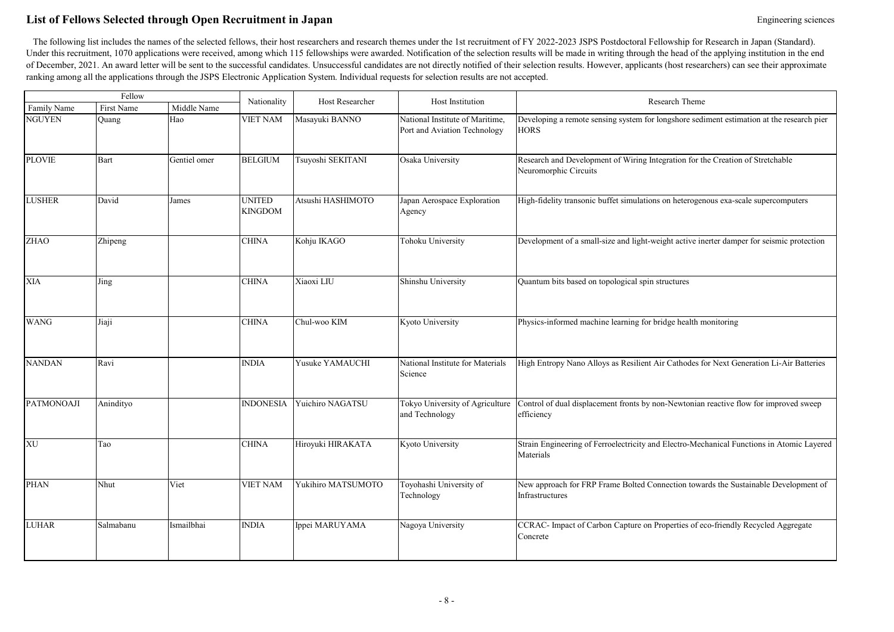# List of Fellows Selected through Open Recruitment in Japan **Engineering Sciences** Engineering sciences

|                   | Fellow      |              |                                 | Host Researcher    | Host Institution                                                | Research Theme                                                                                           |
|-------------------|-------------|--------------|---------------------------------|--------------------|-----------------------------------------------------------------|----------------------------------------------------------------------------------------------------------|
| Family Name       | First Name  | Middle Name  | Nationality                     |                    |                                                                 |                                                                                                          |
| <b>NGUYEN</b>     | Quang       | Hao          | <b>VIET NAM</b>                 | Masayuki BANNO     | National Institute of Maritime,<br>Port and Aviation Technology | Developing a remote sensing system for longshore sediment estimation at the research pier<br><b>HORS</b> |
| <b>PLOVIE</b>     | <b>Bart</b> | Gentiel omer | <b>BELGIUM</b>                  | Tsuyoshi SEKITANI  | Osaka University                                                | Research and Development of Wiring Integration for the Creation of Stretchable<br>Neuromorphic Circuits  |
| <b>LUSHER</b>     | David       | James        | <b>UNITED</b><br><b>KINGDOM</b> | Atsushi HASHIMOTO  | Japan Aerospace Exploration<br>Agency                           | High-fidelity transonic buffet simulations on heterogenous exa-scale supercomputers                      |
| <b>ZHAO</b>       | Zhipeng     |              | <b>CHINA</b>                    | Kohju IKAGO        | Tohoku University                                               | Development of a small-size and light-weight active inerter damper for seismic protection                |
| <b>XIA</b>        | Jing        |              | <b>CHINA</b>                    | Xiaoxi LIU         | Shinshu University                                              | Quantum bits based on topological spin structures                                                        |
| <b>WANG</b>       | Jiaji       |              | <b>CHINA</b>                    | Chul-woo KIM       | Kyoto University                                                | Physics-informed machine learning for bridge health monitoring                                           |
| <b>NANDAN</b>     | Ravi        |              | <b>INDIA</b>                    | Yusuke YAMAUCHI    | National Institute for Materials<br>Science                     | High Entropy Nano Alloys as Resilient Air Cathodes for Next Generation Li-Air Batteries                  |
| <b>PATMONOAJI</b> | Anindityo   |              | <b>INDONESIA</b>                | Yuichiro NAGATSU   | Tokyo University of Agriculture<br>and Technology               | Control of dual displacement fronts by non-Newtonian reactive flow for improved sweep<br>efficiency      |
| XU                | Tao         |              | <b>CHINA</b>                    | Hiroyuki HIRAKATA  | Kyoto University                                                | Strain Engineering of Ferroelectricity and Electro-Mechanical Functions in Atomic Layered<br>Materials   |
| <b>PHAN</b>       | Nhut        | Viet         | <b>VIET NAM</b>                 | Yukihiro MATSUMOTO | Toyohashi University of<br>Technology                           | New approach for FRP Frame Bolted Connection towards the Sustainable Development of<br>Infrastructures   |
| <b>LUHAR</b>      | Salmabanu   | Ismailbhai   | <b>INDIA</b>                    | Ippei MARUYAMA     | Nagoya University                                               | CCRAC- Impact of Carbon Capture on Properties of eco-friendly Recycled Aggregate<br>Concrete             |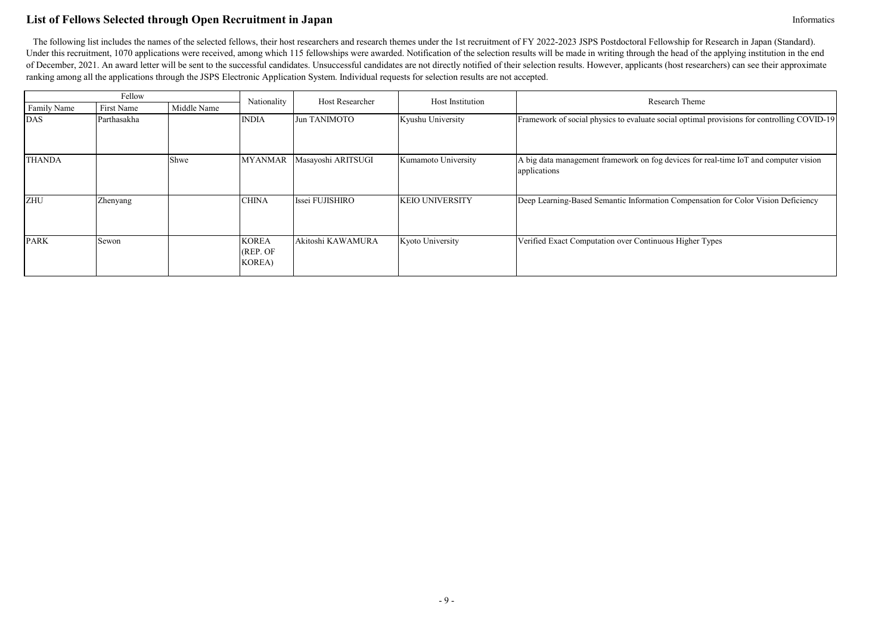# **List of Fellows Selected through Open Recruitment in Japan** Information **Information** Information

| Fellow        |                 |             | Nationality                                 | Host Researcher    | Host Institution       | Research Theme                                                                                       |
|---------------|-----------------|-------------|---------------------------------------------|--------------------|------------------------|------------------------------------------------------------------------------------------------------|
| Family Name   | First Name      | Middle Name |                                             |                    |                        |                                                                                                      |
| <b>DAS</b>    | Parthasakha     |             | <b>INDIA</b>                                | Jun TANIMOTO       | Kyushu University      | Framework of social physics to evaluate social optimal provisions for controlling COVID-19           |
| <b>THANDA</b> |                 | Shwe        | <b>MYANMAR</b>                              | Masayoshi ARITSUGI | Kumamoto University    | A big data management framework on fog devices for real-time IoT and computer vision<br>applications |
| ZHU           | <b>Zhenyang</b> |             | <b>CHINA</b>                                | Issei FUJISHIRO    | <b>KEIO UNIVERSITY</b> | Deep Learning-Based Semantic Information Compensation for Color Vision Deficiency                    |
| <b>PARK</b>   | Sewon           |             | <b>KOREA</b><br>(REP. OF)<br><b>KOREA</b> ) | Akitoshi KAWAMURA  | Kyoto University       | Verified Exact Computation over Continuous Higher Types                                              |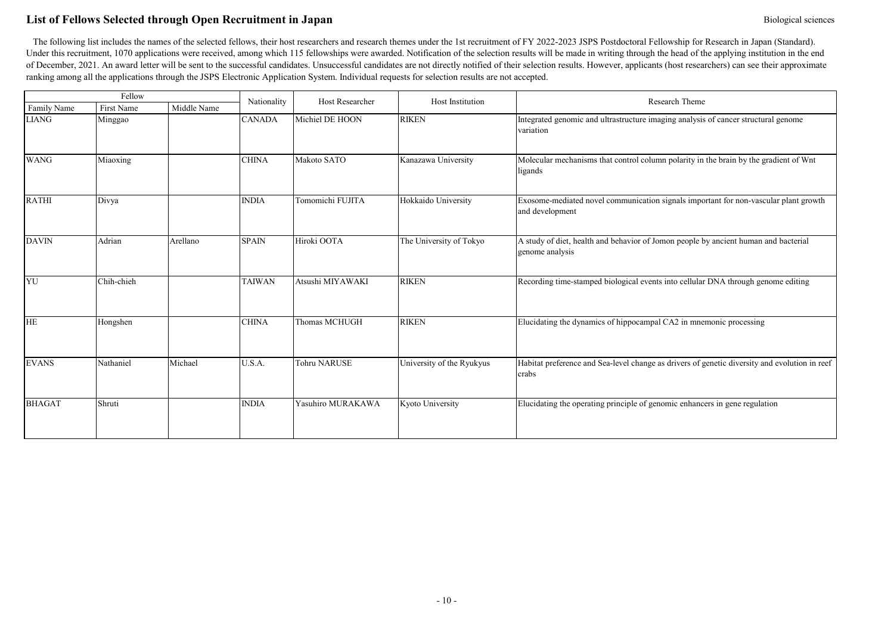# **List of Fellows Selected through Open Recruitment in Japan** Biological sciences Biological sciences

|               | Fellow     |             | Nationality   | Host Researcher     | Host Institution          | Research Theme                                                                                          |
|---------------|------------|-------------|---------------|---------------------|---------------------------|---------------------------------------------------------------------------------------------------------|
| Family Name   | First Name | Middle Name |               |                     |                           |                                                                                                         |
| <b>LIANG</b>  | Minggao    |             | <b>CANADA</b> | Michiel DE HOON     | <b>RIKEN</b>              | Integrated genomic and ultrastructure imaging analysis of cancer structural genome<br>variation         |
| <b>WANG</b>   | Miaoxing   |             | <b>CHINA</b>  | Makoto SATO         | Kanazawa University       | Molecular mechanisms that control column polarity in the brain by the gradient of Wnt<br>ligands        |
| <b>RATHI</b>  | Divya      |             | <b>INDIA</b>  | Tomomichi FUJITA    | Hokkaido University       | Exosome-mediated novel communication signals important for non-vascular plant growth<br>and development |
| <b>DAVIN</b>  | Adrian     | Arellano    | <b>SPAIN</b>  | Hiroki OOTA         | The University of Tokyo   | A study of diet, health and behavior of Jomon people by ancient human and bacterial<br>genome analysis  |
| YU            | Chih-chieh |             | <b>TAIWAN</b> | Atsushi MIYAWAKI    | <b>RIKEN</b>              | Recording time-stamped biological events into cellular DNA through genome editing                       |
| <b>HE</b>     | Hongshen   |             | <b>CHINA</b>  | Thomas MCHUGH       | <b>RIKEN</b>              | Elucidating the dynamics of hippocampal CA2 in mnemonic processing                                      |
| <b>EVANS</b>  | Nathaniel  | Michael     | U.S.A.        | <b>Tohru NARUSE</b> | University of the Ryukyus | Habitat preference and Sea-level change as drivers of genetic diversity and evolution in reef<br>crabs  |
| <b>BHAGAT</b> | Shruti     |             | <b>INDIA</b>  | Yasuhiro MURAKAWA   | Kyoto University          | Elucidating the operating principle of genomic enhancers in gene regulation                             |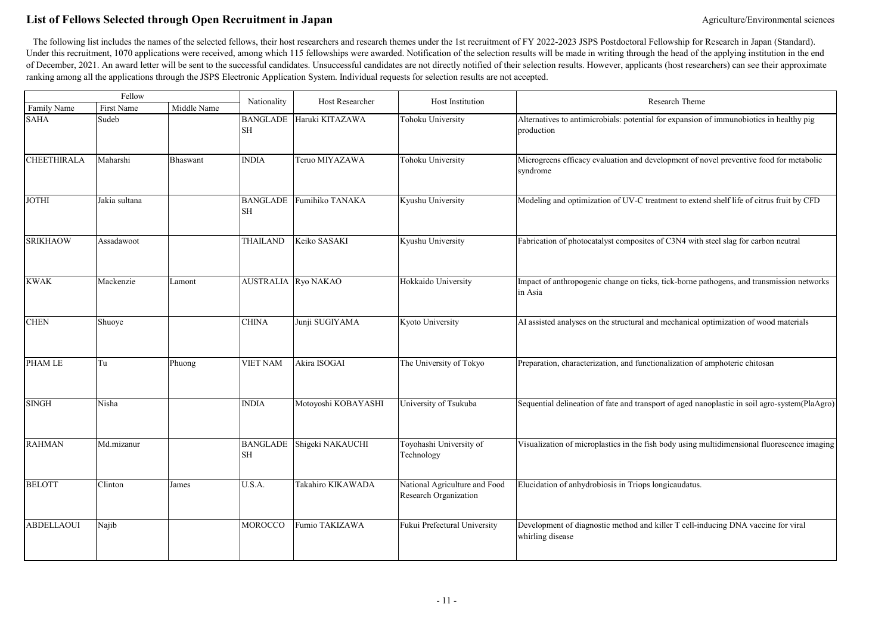# List of Fellows Selected through Open Recruitment in Japan **Agriculture/Environmental sciences** Agriculture/Environmental sciences

| Fellow             |               |             | Nationality                  | Host Researcher     | Host Institution                                       | Research Theme                                                                                        |
|--------------------|---------------|-------------|------------------------------|---------------------|--------------------------------------------------------|-------------------------------------------------------------------------------------------------------|
| Family Name        | First Name    | Middle Name |                              |                     |                                                        |                                                                                                       |
| <b>SAHA</b>        | Sudeb         |             | <b>BANGLADE</b><br><b>SH</b> | Haruki KITAZAWA     | Tohoku University                                      | Alternatives to antimicrobials: potential for expansion of immunobiotics in healthy pig<br>production |
| <b>CHEETHIRALA</b> | Maharshi      | Bhaswant    | <b>INDIA</b>                 | Teruo MIYAZAWA      | Tohoku University                                      | Microgreens efficacy evaluation and development of novel preventive food for metabolic<br>syndrome    |
| <b>JOTHI</b>       | Jakia sultana |             | <b>BANGLADE</b><br><b>SH</b> | Fumihiko TANAKA     | Kyushu University                                      | Modeling and optimization of UV-C treatment to extend shelf life of citrus fruit by CFD               |
| <b>SRIKHAOW</b>    | Assadawoot    |             | <b>THAILAND</b>              | Keiko SASAKI        | Kyushu University                                      | Fabrication of photocatalyst composites of C3N4 with steel slag for carbon neutral                    |
| <b>KWAK</b>        | Mackenzie     | Lamont      | <b>AUSTRALIA</b>             | Ryo NAKAO           | Hokkaido University                                    | Impact of anthropogenic change on ticks, tick-borne pathogens, and transmission networks<br>in Asia   |
| <b>CHEN</b>        | Shuoye        |             | <b>CHINA</b>                 | Junji SUGIYAMA      | Kyoto University                                       | AI assisted analyses on the structural and mechanical optimization of wood materials                  |
| PHAM LE            | Tu            | Phuong      | <b>VIET NAM</b>              | Akira ISOGAI        | The University of Tokyo                                | Preparation, characterization, and functionalization of amphoteric chitosan                           |
| <b>SINGH</b>       | Nisha         |             | <b>INDIA</b>                 | Motoyoshi KOBAYASHI | University of Tsukuba                                  | Sequential delineation of fate and transport of aged nanoplastic in soil agro-system(PlaAgro)         |
| <b>RAHMAN</b>      | Md.mizanur    |             | <b>BANGLADE</b><br>SН        | Shigeki NAKAUCHI    | Toyohashi University of<br>Technology                  | Visualization of microplastics in the fish body using multidimensional fluorescence imaging           |
| <b>BELOTT</b>      | Clinton       | James       | U.S.A.                       | Takahiro KIKAWADA   | National Agriculture and Food<br>Research Organization | Elucidation of anhydrobiosis in Triops longicaudatus.                                                 |
| <b>ABDELLAOUI</b>  | Najib         |             | MOROCCO                      | Fumio TAKIZAWA      | Fukui Prefectural University                           | Development of diagnostic method and killer T cell-inducing DNA vaccine for viral<br>whirling disease |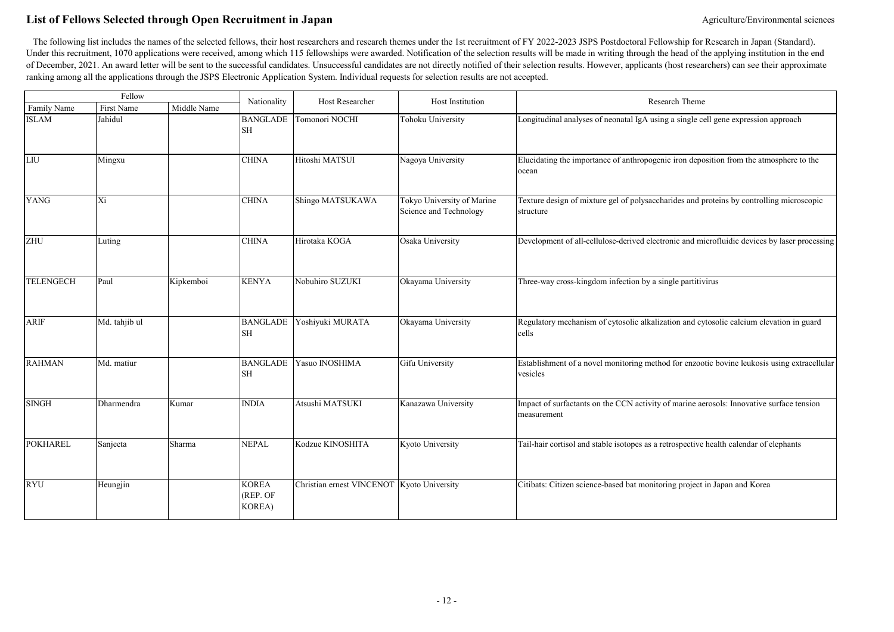# List of Fellows Selected through Open Recruitment in Japan **Agriculture/Environmental sciences** Agriculture/Environmental sciences

| Fellow           |               |             | Nationality                                | Host Researcher                            | Host Institution                                     | Research Theme                                                                                          |
|------------------|---------------|-------------|--------------------------------------------|--------------------------------------------|------------------------------------------------------|---------------------------------------------------------------------------------------------------------|
| Family Name      | First Name    | Middle Name |                                            |                                            |                                                      |                                                                                                         |
| <b>ISLAM</b>     | Jahidul       |             | <b>BANGLADE</b><br>SH                      | Tomonori NOCHI                             | Tohoku University                                    | Longitudinal analyses of neonatal IgA using a single cell gene expression approach                      |
| LIU              | Mingxu        |             | <b>CHINA</b>                               | Hitoshi MATSUI                             | Nagoya University                                    | Elucidating the importance of anthropogenic iron deposition from the atmosphere to the<br>ocean         |
| <b>YANG</b>      | Xi            |             | <b>CHINA</b>                               | Shingo MATSUKAWA                           | Tokyo University of Marine<br>Science and Technology | Texture design of mixture gel of polysaccharides and proteins by controlling microscopic<br>structure   |
| ZHU              | Luting        |             | <b>CHINA</b>                               | Hirotaka KOGA                              | Osaka University                                     | Development of all-cellulose-derived electronic and microfluidic devices by laser processing            |
| <b>TELENGECH</b> | Paul          | Kipkemboi   | <b>KENYA</b>                               | Nobuhiro SUZUKI                            | Okayama University                                   | Three-way cross-kingdom infection by a single partitivirus                                              |
| <b>ARIF</b>      | Md. tahjib ul |             | <b>BANGLADE</b><br><b>SH</b>               | Yoshiyuki MURATA                           | Okayama University                                   | Regulatory mechanism of cytosolic alkalization and cytosolic calcium elevation in guard<br>cells        |
| <b>RAHMAN</b>    | Md. matiur    |             | <b>BANGLADE</b><br><b>SH</b>               | Yasuo INOSHIMA                             | Gifu University                                      | Establishment of a novel monitoring method for enzootic bovine leukosis using extracellular<br>vesicles |
| <b>SINGH</b>     | Dharmendra    | Kumar       | <b>INDIA</b>                               | Atsushi MATSUKI                            | Kanazawa University                                  | Impact of surfactants on the CCN activity of marine aerosols: Innovative surface tension<br>measurement |
| <b>POKHAREL</b>  | Sanjeeta      | Sharma      | <b>NEPAL</b>                               | Kodzue KINOSHITA                           | Kyoto University                                     | Tail-hair cortisol and stable isotopes as a retrospective health calendar of elephants                  |
| <b>RYU</b>       | Heungjin      |             | <b>KOREA</b><br>(REP. OF<br><b>KOREA</b> ) | Christian ernest VINCENOT Kyoto University |                                                      | Citibats: Citizen science-based bat monitoring project in Japan and Korea                               |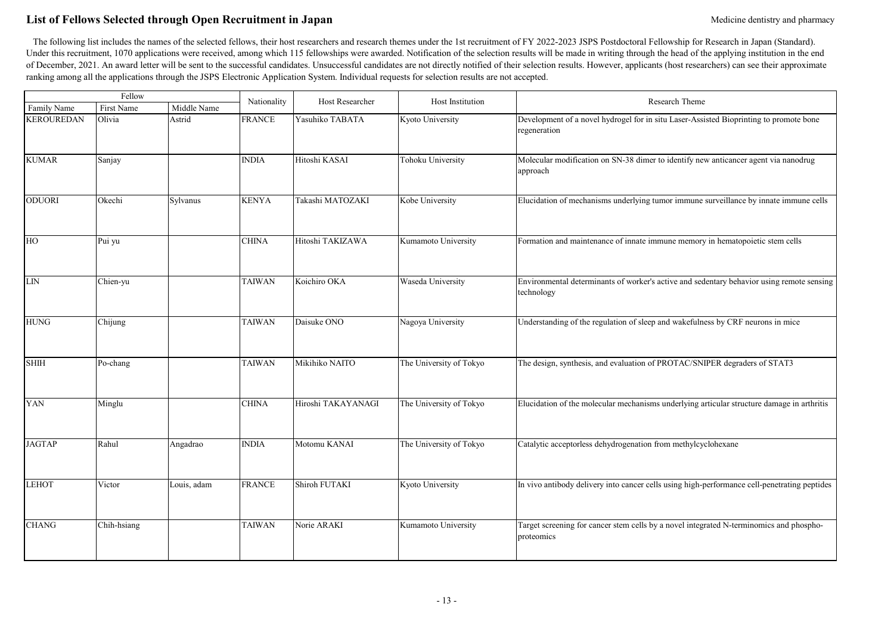# List of Fellows Selected through Open Recruitment in Japan Medicine dentistry and pharmacy

| Fellow            |                              |             |               | <b>Host Researcher</b> | Host Institution        | Research Theme                                                                                          |
|-------------------|------------------------------|-------------|---------------|------------------------|-------------------------|---------------------------------------------------------------------------------------------------------|
| Family Name       | First Name                   | Middle Name | Nationality   |                        |                         |                                                                                                         |
| <b>KEROUREDAN</b> | Olivia                       | Astrid      | <b>FRANCE</b> | Yasuhiko TABATA        | Kyoto University        | Development of a novel hydrogel for in situ Laser-Assisted Bioprinting to promote bone<br>regeneration  |
| <b>KUMAR</b>      | Sanjay                       |             | <b>INDIA</b>  | Hitoshi KASAI          | Tohoku University       | Molecular modification on SN-38 dimer to identify new anticancer agent via nanodrug<br>approach         |
| <b>ODUORI</b>     | Okechi                       | Sylvanus    | <b>KENYA</b>  | Takashi MATOZAKI       | Kobe University         | Elucidation of mechanisms underlying tumor immune surveillance by innate immune cells                   |
| HO                | $\left[\text{Pui } y\right]$ |             | <b>CHINA</b>  | Hitoshi TAKIZAWA       | Kumamoto University     | Formation and maintenance of innate immune memory in hematopoietic stem cells                           |
| ${\rm LIN}$       | Chien-yu                     |             | <b>TAIWAN</b> | Koichiro OKA           | Waseda University       | Environmental determinants of worker's active and sedentary behavior using remote sensing<br>technology |
| <b>HUNG</b>       | Chijung                      |             | <b>TAIWAN</b> | Daisuke ONO            | Nagoya University       | Understanding of the regulation of sleep and wakefulness by CRF neurons in mice                         |
| <b>SHIH</b>       | Po-chang                     |             | <b>TAIWAN</b> | Mikihiko NAITO         | The University of Tokyo | The design, synthesis, and evaluation of PROTAC/SNIPER degraders of STAT3                               |
| YAN               | Minglu                       |             | <b>CHINA</b>  | Hiroshi TAKAYANAGI     | The University of Tokyo | Elucidation of the molecular mechanisms underlying articular structure damage in arthritis              |
| <b>JAGTAP</b>     | Rahul                        | Angadrao    | <b>INDIA</b>  | Motomu KANAI           | The University of Tokyo | Catalytic acceptorless dehydrogenation from methylcyclohexane                                           |
| <b>LEHOT</b>      | Victor                       | Louis, adam | <b>FRANCE</b> | Shiroh FUTAKI          | Kyoto University        | In vivo antibody delivery into cancer cells using high-performance cell-penetrating peptides            |
| <b>CHANG</b>      | Chih-hsiang                  |             | <b>TAIWAN</b> | Norie ARAKI            | Kumamoto University     | Target screening for cancer stem cells by a novel integrated N-terminomics and phospho-<br>proteomics   |